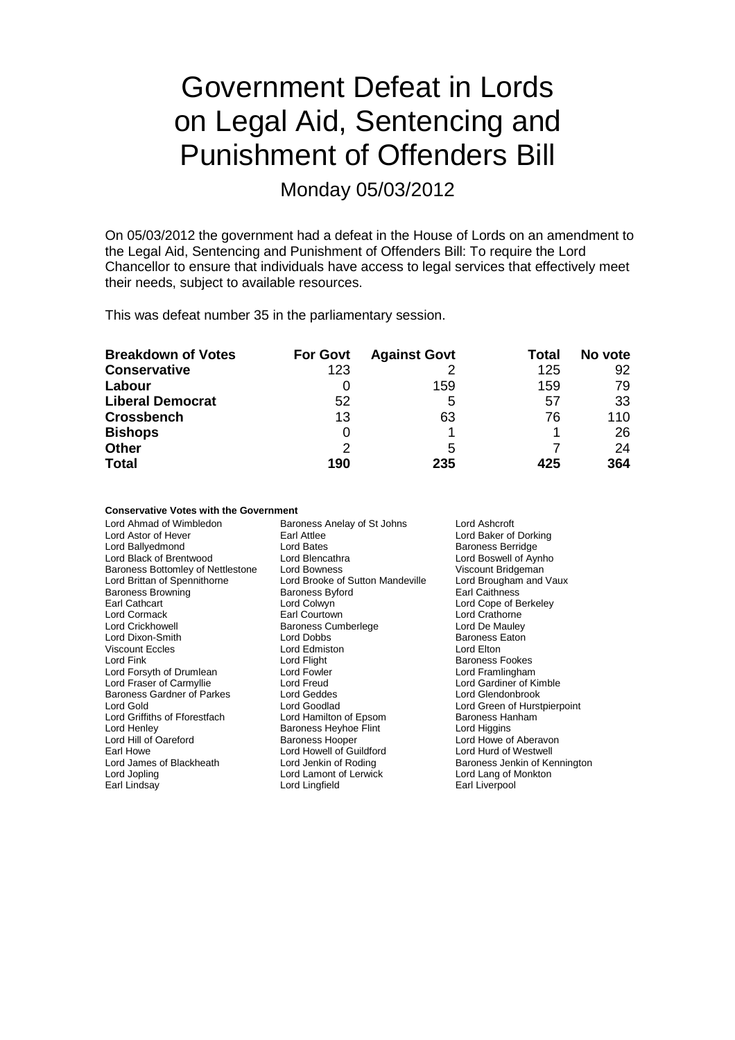# Government Defeat in Lords on Legal Aid, Sentencing and Punishment of Offenders Bill

Monday 05/03/2012

On 05/03/2012 the government had a defeat in the House of Lords on an amendment to the Legal Aid, Sentencing and Punishment of Offenders Bill: To require the Lord Chancellor to ensure that individuals have access to legal services that effectively meet their needs, subject to available resources.

This was defeat number 35 in the parliamentary session.

| <b>Breakdown of Votes</b> | <b>For Govt</b> | <b>Against Govt</b> | Total | No vote |
|---------------------------|-----------------|---------------------|-------|---------|
| <b>Conservative</b>       | 123             |                     | 125   | 92      |
| Labour                    | 0               | 159                 | 159   | 79      |
| <b>Liberal Democrat</b>   | 52              | 5                   | 57    | 33      |
| <b>Crossbench</b>         | 13              | 63                  | 76    | 110     |
| <b>Bishops</b>            | 0               |                     |       | 26      |
| <b>Other</b>              | 2               | 5                   |       | 24      |
| <b>Total</b>              | 190             | 235                 | 425   | 364     |

## **Conservative Votes with the Government**

| Lord Ahmad of Wimbledon<br>Lord Astor of Hever | Baroness Anelay of St Johns<br>Earl Attlee | Lord Ashcroft                                     |
|------------------------------------------------|--------------------------------------------|---------------------------------------------------|
| Lord Ballyedmond                               | Lord Bates                                 | Lord Baker of Dorking<br><b>Baroness Berridge</b> |
| Lord Black of Brentwood                        | Lord Blencathra                            | Lord Boswell of Aynho                             |
| Baroness Bottomley of Nettlestone              | Lord Bowness                               | Viscount Bridgeman                                |
| Lord Brittan of Spennithorne                   | Lord Brooke of Sutton Mandeville           | Lord Brougham and Vaux                            |
| <b>Baroness Browning</b>                       | <b>Baroness Byford</b>                     | <b>Earl Caithness</b>                             |
| Earl Cathcart                                  | Lord Colwyn                                | Lord Cope of Berkeley                             |
| Lord Cormack                                   | Earl Courtown                              | Lord Crathorne                                    |
| <b>Lord Crickhowell</b>                        | <b>Baroness Cumberlege</b>                 | Lord De Mauley                                    |
| Lord Dixon-Smith                               | Lord Dobbs                                 | <b>Baroness Eaton</b>                             |
| <b>Viscount Eccles</b>                         | Lord Edmiston                              | Lord Elton                                        |
| Lord Fink                                      | Lord Flight                                | <b>Baroness Fookes</b>                            |
| Lord Forsyth of Drumlean                       | Lord Fowler                                | Lord Framlingham                                  |
| Lord Fraser of Carmyllie                       | Lord Freud                                 | Lord Gardiner of Kimble                           |
| <b>Baroness Gardner of Parkes</b>              | Lord Geddes                                | Lord Glendonbrook                                 |
| Lord Gold                                      | Lord Goodlad                               | Lord Green of Hurstpierpoint                      |
| Lord Griffiths of Fforestfach                  | Lord Hamilton of Epsom                     | <b>Baroness Hanham</b>                            |
| Lord Henley                                    | <b>Baroness Heyhoe Flint</b>               | Lord Higgins                                      |
| Lord Hill of Oareford                          | <b>Baroness Hooper</b>                     | Lord Howe of Aberavon                             |
| Earl Howe                                      | Lord Howell of Guildford                   | Lord Hurd of Westwell                             |
| Lord James of Blackheath                       | Lord Jenkin of Roding                      | Baroness Jenkin of Kennington                     |
| Lord Jopling                                   | Lord Lamont of Lerwick                     | Lord Lang of Monkton                              |
| Earl Lindsay                                   | Lord Lingfield                             | Earl Liverpool                                    |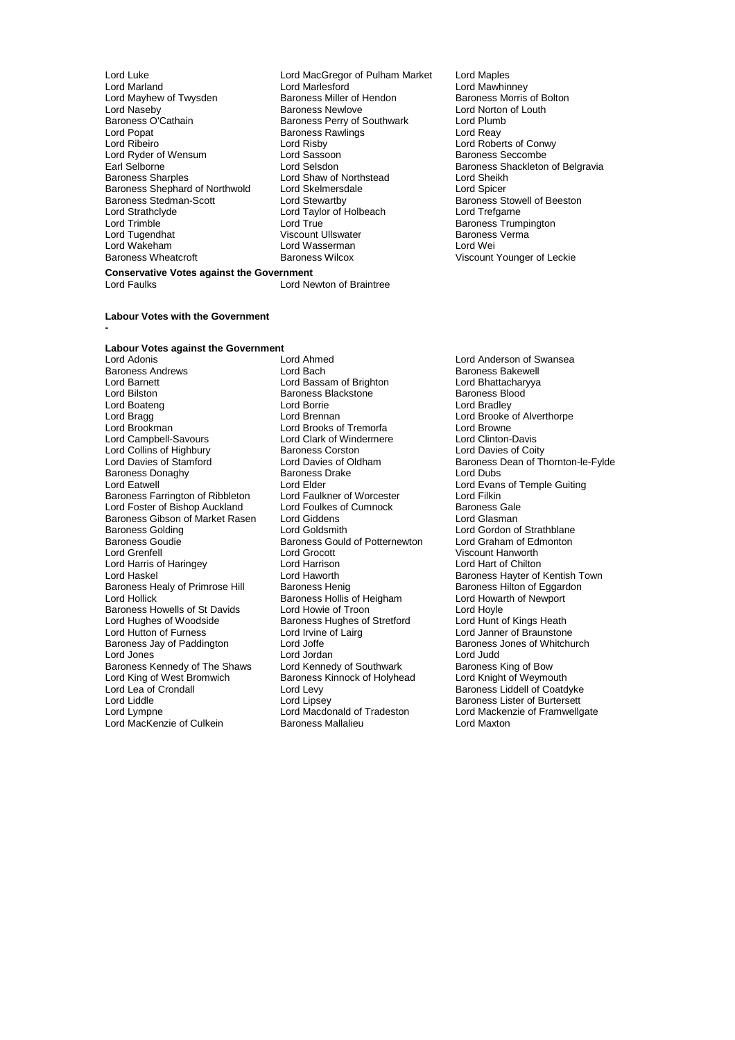- Lord Naseby **Baroness Newlove** Lord Norton of Louth<br>
Baroness O'Cathain **Baroness Perry of Southwark** Lord Plumb Baroness O'Cathain **Baroness Perry of Southwark** Lord Plumb<br>Lord Popat **Baroness Rawlings** Lord Reav Lord Popat **Baroness Rawlings**<br>
Lord Ribeiro<br>
Lord Risby Lord Ryder of Wensum Lord Sassoon<br>Earl Selborne Secret Secret Lord Selsdon Baroness Shephard of Northwold<br>
Baroness Stedman-Scott<br>
Lord Stewartby<br>
Lord Stewartby Baroness Stedman-Scott Lord Stewartby Corresponding the Baroness Stowell of Beeston<br>
Lord Strathclyde Lord Taylor of Holbeach Lord Trefgarne Lord Strathclyde Lord Taylor of Holbeach<br>
Lord Trimble Lord True<br>
Lord True Lord Tugendhat Viscount Ullswater Baroness Verma Lord Wakeham Lord Wasserman<br>
Baroness Wheatcroft 
Baroness Wilcox
- Lord Luke Lord MacGregor of Pulham Market Lord Maples Lord Marland Lord Marlesford Lord Mawhinney Lord Mayhew of Twysden **Baroness Miller of Hendon** Baroness Morris of Bolton Lord Risby Lord Roberts of Conwy<br>
Lord Risby Lord Roberts of Conwy<br>
Baroness Seccombe Lord Shaw of Northstead Lord Sheikh<br>Lord Skelmersdale Lord Spicer Lord True<br>
Viscount Ullswater<br>
Viscount Ullswater<br>
Baroness Verma
- Earl Selborne **Lord Selsdon** Lord Selsdon Baroness Shackleton of Belgravia<br>
Baroness Sharples **Baroness** Sharples **Lord Shaw** of Northstead Lord Sheikh Viscount Younger of Leckie

#### **Conservative Votes against the Government** Lord Newton of Braintree

## **Labour Votes with the Government**

**-**

## **Labour Votes against the Government**

Lord Adonis **Lord Ahmed** Lord Ahmed Lord Anderson of Swansea<br>
Baroness Andrews **Lord Bach** Lord Bach **Baroness Bakewell** Baroness Andrews **Example 2** Lord Bach Baroness Bakewell<br>
Lord Barnett **Bach Bassam of Brighton** Blood Bhattacharyya Lord Barnett **Lord Bassam of Brighton** Cord Bhattachar<br>
Lord Bilston **Lord Barness Blackstone** Barness Blood<br>
Barness Blood Lord Bilston Baroness Blackstone<br>
Baroness Blackstone<br>
Lord Borrie Lord Boateng **Lord Boateng** Lord Borrie **Lord Bree Lord Bradley**<br>
Lord Bragg **Lord Bree Lord Bree Lord Bree Lord Brooke** Lord Bragg Lord Brennan Lord Brooke of Alverthorpe Lord Campbell-Savours Lord Clark of Windermere Lord Clinton-Davis<br>
Lord Collins of Highbury **Campbell Baroness Corston** Lord Davies of Coity Lord Collins of Highbury **Baroness Corston**<br>
Lord Davies of Stamford **Example 1** Lord Davies of Oldham Baroness Donaghy Baroness I<br>
Lord Eatwell Cord Elder Baroness Farrington of Ribbleton Lord Faulkner of Worcester Lord Filkin<br>
Lord Foster of Bishop Auckland Lord Foulkes of Cumnock Baroness Gale Lord Foster of Bishop Auckland Lord Foulkes of Cumnock Baroness Gale<br>Baroness Gibson of Market Rasen Lord Giddens Lord Glasman Baroness Gibson of Market Rasen Lord Giddens<br>Baroness Golding Lord Goldsmith Baroness Golding The Lord Goldsmith Cord Gordon of Strathblane<br>Baroness Goudie The Baroness Gould of Potternewton Lord Graham of Edmonton Lord Grenfell **Communist Communist Communist Communist Communist Communist Communist Communist Communist Communist Communist Communist Communist Communist Communist Communist Communist Communist Communist Communist Communi** Lord Harris of Haringey **Lord Harrison**<br>
Lord Haskel Chilton Lord Haworth Lord Haworth Baroness Hayter of Kentish Town<br>
Baroness Healy of Primrose Hill Baroness Henig<br>
Baroness Hilton of Eggardon Baroness Healy of Primrose Hill Baroness Henig Saroness Henith Baroness Hilton of Eggardon Lord Hollick Baroness Hollis of Heigham Lord Howarth of Newport Baroness Howells of St Davids Lord Howie of Troon<br>
Lord Hughes of Woodside Baroness Hughes of Stretford Lord Hunt of Kings Heath Lord Hughes of Woodside Baroness Hughes of Stretford<br>Lord Hunt of Kings Heath<br>Lord Hutton of Furness Lord Irvine of Lairg Lord Janner of Braunstone Lord Hutton of Furness<br>
Baroness Jay of Paddington<br>
Lord Joffe Baroness Jay of Paddington Lord Joffe **Lord School Constructs** Baroness Jones of Whitchurch<br>
Lord Jord Jord Jord Jordan Lord Judd Baroness Kennedy of The Shaws Lord Kennedy of Southwark Baroness King of Bow<br>
Lord King of West Bromwich Baroness Kinnock of Holyhead Lord Knight of Weymouth Lord King of West Bromwich Baroness Kinnock of Holyhead<br>
Lord Lea of Crondall
Lord Levy Lord Lea of Crondall Lord Levy Lord Levy Baroness Liddell of Coatdyke<br>
Lord Liddle Lord Lipsey Lord Baroness Lister of Burtersett Lord Liddle Lord Lipsey Lord Lipsey Baroness Lister of Burtersett<br>Lord Lympne Lord Macdonald of Tradeston Lord Mackenzie of Framwello Lord MacKenzie of Culkein

Lord Brooks of Tremorfa **Lord Browne**<br>
Lord Clark of Windermere **Lord Clinton-Davis** Lord Elder<br>
Lord Eaulkner of Worcester<br>
Lord Ellkin<br>
Lord Ellkin Baroness Gould of Potternewton Lord Graham of Ed<br>Lord Grocott Lord Graham Class Lord Jordan<br>
Lord Kennedy of Southwark<br>
Baroness King of Bow

Lord Davies of Oldham Baroness Dean of Thornton-le-Fylde<br>
Baroness Drake Corp Lord Dubs Lord Macdonald of Tradeston Lord Mackenzie of Framwellgate<br>Baroness Mallalieu Lord Maxton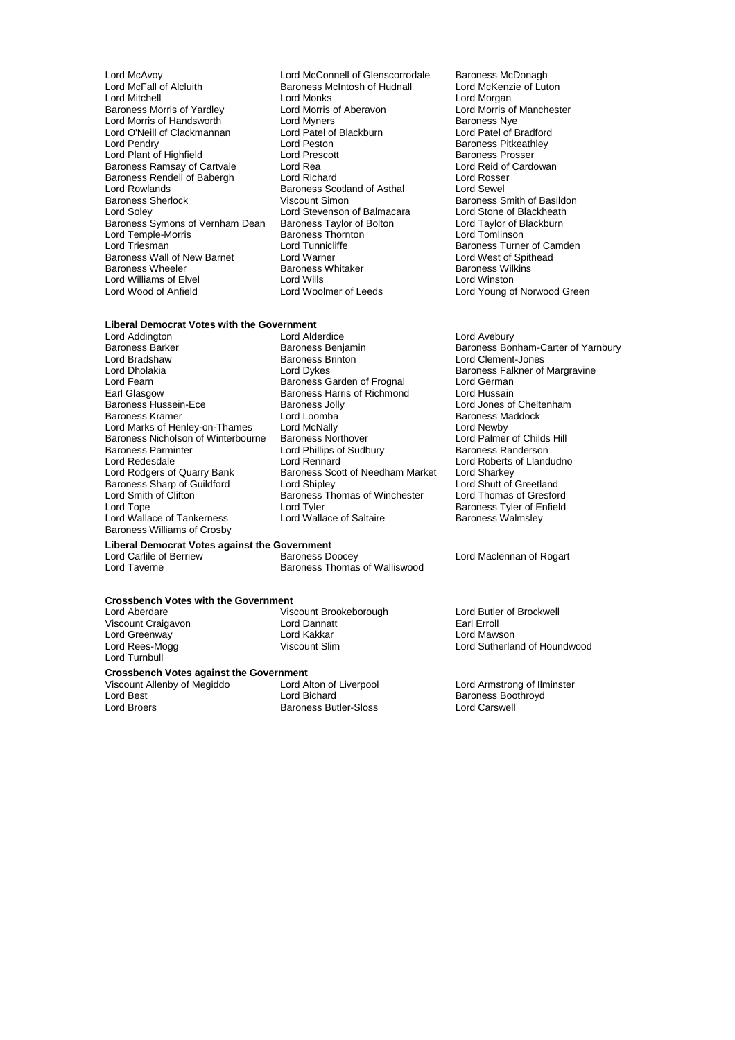Lord McAvoy **Lord McConnell of Glenscorrodale** Baroness McDonagh<br>
Lord McFall of Alcluith **Baroness McIntosh of Hudnall** Lord McKenzie of Luton Lord McFall of Alcluith Baroness McIntosh of Hudnall<br>
Lord Mitchell Cord Monks Baroness Morris of Yardley **Lord Morris of Aberavon** Lord Morris of Lord Morris of Lord Morris of Lord Myners **Corris Act Aberavon** Baroness Nye Lord Morris of Handsworth **Lord Myners** Lord Myners **Baroness Nye**<br>
Lord O'Neill of Clackmannan **Lord Patel of Blackburn Lord Patel of Bradford** Lord O'Neill of Clackmannan Lord Patel of Lord Pendry<br>
Lord Pendry Lord Peston Lord Plant of Highfield Lord Prescott **Baroness Prosser**<br>
Baroness Ramsay of Cartvale Lord Rea Lord Rea Lord Reid of Cardowan Baroness Ramsay of Cartvale Lord Rea Lord Rea Lord Reid of Cartvale Lord Rea Lord Reid of Cartvale Lord Rosser<br>
Raroness Rendell of Babergh Lord Richard Lord Rosser Baroness Rendell of Babergh Lord Richard Lord Rosse<br>
Lord Rowlands Cord Rosse Baroness Scotland of Asthal Lord Sewel Lord Rowlands Baroness Scotland of Asthal<br>Baroness Sherlock Viscount Simon Baroness Sherlock **Viscount Simon**<br>
Lord Solev **Baroness Smith of Basildon**<br>
Lord Stevenson of Balmacara 
Lord Stone of Blackheath Baroness Symons of Vernham Dean Baroness Taylor of Bolton Lord Taylor of B<br>Lord Temple-Morris Baroness Thornton Lord Tomlinson Lord Temple-Morris and Baroness Thorn<br>
Lord Triesman<br>
Lord Tunnicliffe Baroness Wall of New Barnet Lord Warner Lord West of Spithead University Corp. New York Corp. 2014<br>Baroness Wheeler Baroness Whitaker Charoness Wilkins Lord Williams of Elvel Lord Wills<br>
Lord Wood of Anfield
Lord Woolmer of Leeds

Lord Monks<br>
Lord Morris of Aberavon<br>
Lord Morris of Aberavon<br>
Lord Morris of Manchester Lord Peston Baroness Pitkeathley<br>
Lord Prescott Baroness Prosser Lord Stevenson of Balmacara Lord Stone of Blackheath<br>
Baroness Taylor of Bolton Lord Taylor of Blackburn Lord Tunnicliffe **Baroness Turner of Camden**<br>
Lord Warner **Cammaden**<br>
Lord West of Spithead Baroness Whitaker **Baroness Willish Baroness Willis**<br>
Lord Willsins Baroness Williston

## **Liberal Democrat Votes with the Government**

Earl Glasgow **Baroness Harris of Richmond Baroness Hussein-Ece**<br>
Baroness Hussein-Ece **Baroness Jolly** Baroness Parminter **Lord Phillips of Sudbury**<br>
Lord Redesdale **Lord Rennard** Lord Smith of Clifton Baroness Thomas of Winchester<br>Lord Tope Lord Tyler Baroness Williams of Crosby

Lord Addington Lord Alderdice Lord Avebury Lord Bradshaw Baroness Brinton Lord Clement-Jones Lord Dholakia **Lord Dykes** Lord Dykes Baroness Falkner of Margravine<br>Lord Fearn **Baroness Garden of Frognal** Lord German Lord Fearn **Example 2** Exercise Garden of Frognal Lord German<br>
Baroness Harris of Richmond Lord Hussain Baroness Hussein-Ece **Baroness Jolly** Exercise Scotter Lord Jones of Cheltenham<br>Baroness Kramer **Baroness In Lord Loomba** Baroness Maddock **Lord Loomba Baroness Maddock**<br> **A** Lord McNally **A** Lord Newby Lord Marks of Henley-on-Thames Lord McNally **Lord Mentally** Lord Newby<br>Baroness Nicholson of Winterbourne Baroness Northover **Lord Palmer of Childs Hill** Baroness Nicholson of Winterbourne<br>
Baroness Northover<br>
Baroness Northover<br>
Lord Palmer Lord Politips of Sudbury<br>
Baroness Randerson Lord Rennard **Lord Roberts of Llandudno**<br> **Baroness Scott of Needham Market** Lord Sharkey Lord Rodgers of Quarry Bank Baroness Scott of Needham Market Lord Sharkey Baroness Sharp of Guildford Lord Shipley Lord Shutt of Greetland<br>
Lord Smith of Clifton **Cultists** Baroness Thomas of Winchester Lord Thomas of Gresford Lord Tope Lord Tyler Corporation Christen Baroness Tyler of Enfield<br>
Lord Wallace of Saltaire Baroness Wallmsley<br>
Baroness Walmsley Lord Wallace of Saltaire

## **Liberal Democrat Votes against the Government**

Lord Carlile of Berriew **Baroness Doocey** Lord Maclennan of Rogart<br>
Lord Taverne<br>
Lord Taverne Baroness Thomas of Walliswood

## **Crossbench Votes with the Government**

Lord Greenway **Lord Kakkar**<br>Cord Rees-Mogg **Lord May Lord Makkar** Lord Turnbull

Lord Aberdare **Viscount Brookeborough** Lord Butler of Brockwell<br>
Viscount Craigavon **Lord Dannatt** Lord Dannatt **Exil Exil Engler** Viscount Craigavon **Craigavon** Lord Dannatt Craigavon Lord Lord Earl Erroll<br>
Lord Greenway **Lord Lord Lord Kakkar** Craigavon Lord Mawson

Lord Best Lord Bichard<br>
Lord Broers Corporation Baroness Butler-Sloss<br>
Lord Broers Corporation Baroness Butler-Sloss<br>
Lord Carswell

**Crossbench Votes against the Government** Viscount Allenby of Megiddo Lord Alton of Liverpool Lord Armstrong of Ilminster Baroness Butler-Sloss

Lord Young of Norwood Green

Baroness Barker **Baroness Benjamin**<br>
Lord Bradshaw **Baroness Benjamin** Baroness Bonham-Carter of Yarnbury<br>
Lord Bradshaw **Baroness Brinton** Lord Clement-Jones

Lord Sutherland of Houndwood